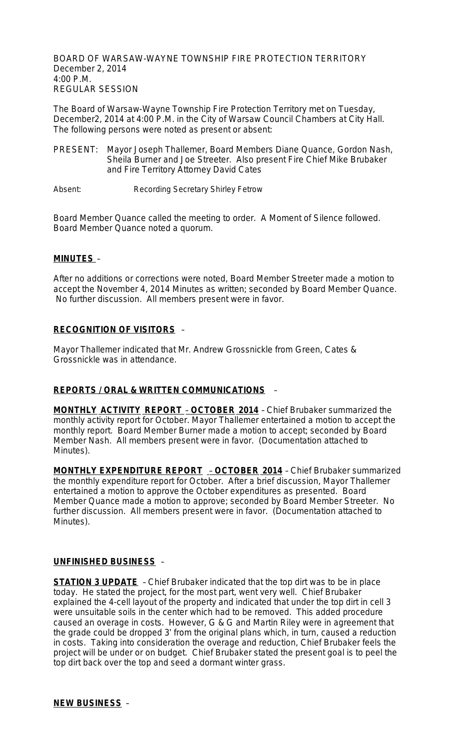BOARD OF WARSAW-WAYNE TOWNSHIP FIRE PROTECTION TERRITORY December 2, 2014 4:00 P.M. REGULAR SESSION

The Board of Warsaw-Wayne Township Fire Protection Territory met on Tuesday, December2, 2014 at 4:00 P.M. in the City of Warsaw Council Chambers at City Hall. The following persons were noted as present or absent:

- PRESENT: Mayor Joseph Thallemer, Board Members Diane Quance, Gordon Nash, Sheila Burner and Joe Streeter. Also present Fire Chief Mike Brubaker and Fire Territory Attorney David Cates
- Absent: Recording Secretary Shirley Fetrow

Board Member Quance called the meeting to order. A Moment of Silence followed. Board Member Quance noted a quorum.

### **MINUTES** –

After no additions or corrections were noted, Board Member Streeter made a motion to accept the November 4, 2014 Minutes as written; seconded by Board Member Quance. No further discussion. All members present were in favor.

## **RECOGNITION OF VISITORS** –

Mayor Thallemer indicated that Mr. Andrew Grossnickle from Green, Cates & Grossnickle was in attendance.

### **REPORTS / ORAL & WRITTEN COMMUNICATIONS** –

**MONTHLY ACTIVITY REPORT** – **OCTOBER 2014** – Chief Brubaker summarized the monthly activity report for October. Mayor Thallemer entertained a motion to accept the monthly report. Board Member Burner made a motion to accept; seconded by Board Member Nash. All members present were in favor. (Documentation attached to Minutes).

**MONTHLY EXPENDITURE REPORT** – **OCTOBER 2014** – Chief Brubaker summarized the monthly expenditure report for October. After a brief discussion, Mayor Thallemer entertained a motion to approve the October expenditures as presented. Board Member Quance made a motion to approve; seconded by Board Member Streeter. No further discussion. All members present were in favor. (Documentation attached to Minutes).

### **UNFINISHED BUSINESS** –

**STATION 3 UPDATE** – Chief Brubaker indicated that the top dirt was to be in place today. He stated the project, for the most part, went very well. Chief Brubaker explained the 4-cell layout of the property and indicated that under the top dirt in cell 3 were unsuitable soils in the center which had to be removed. This added procedure caused an overage in costs. However, G & G and Martin Riley were in agreement that the grade could be dropped 3' from the original plans which, in turn, caused a reduction in costs. Taking into consideration the overage and reduction, Chief Brubaker feels the project will be under or on budget. Chief Brubaker stated the present goal is to peel the top dirt back over the top and seed a dormant winter grass.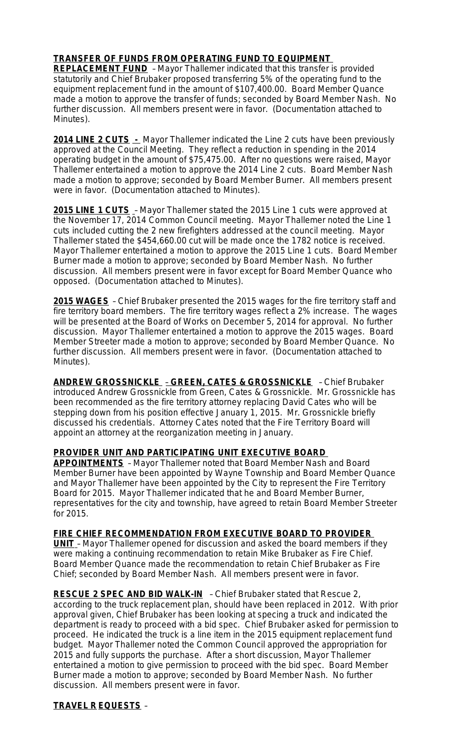## **TRANSFER OF FUNDS FROM OPERATING FUND TO EQUIPMENT**

**REPLACEMENT FUND** – Mayor Thallemer indicated that this transfer is provided statutorily and Chief Brubaker proposed transferring 5% of the operating fund to the equipment replacement fund in the amount of \$107,400.00. Board Member Quance made a motion to approve the transfer of funds; seconded by Board Member Nash. No further discussion. All members present were in favor. (Documentation attached to Minutes).

**2014 LINE 2 CUTS -** Mayor Thallemer indicated the Line 2 cuts have been previously approved at the Council Meeting. They reflect a reduction in spending in the 2014 operating budget in the amount of \$75,475.00. After no questions were raised, Mayor Thallemer entertained a motion to approve the 2014 Line 2 cuts. Board Member Nash made a motion to approve; seconded by Board Member Burner. All members present were in favor. (Documentation attached to Minutes).

**2015 LINE 1 CUTS** – Mayor Thallemer stated the 2015 Line 1 cuts were approved at the November 17, 2014 Common Council meeting. Mayor Thallemer noted the Line 1 cuts included cutting the 2 new firefighters addressed at the council meeting. Mayor Thallemer stated the \$454,660.00 cut will be made once the 1782 notice is received. Mayor Thallemer entertained a motion to approve the 2015 Line 1 cuts. Board Member Burner made a motion to approve; seconded by Board Member Nash. No further discussion. All members present were in favor except for Board Member Quance who opposed. (Documentation attached to Minutes).

**2015 WAGES** – Chief Brubaker presented the 2015 wages for the fire territory staff and fire territory board members. The fire territory wages reflect a 2% increase. The wages will be presented at the Board of Works on December 5, 2014 for approval. No further discussion. Mayor Thallemer entertained a motion to approve the 2015 wages. Board Member Streeter made a motion to approve; seconded by Board Member Quance. No further discussion. All members present were in favor. (Documentation attached to Minutes).

**ANDREW GROSSNICKLE** – **GREEN, CATES & GROSSNICKLE** – Chief Brubaker introduced Andrew Grossnickle from Green, Cates & Grossnickle. Mr. Grossnickle has been recommended as the fire territory attorney replacing David Cates who will be stepping down from his position effective January 1, 2015. Mr. Grossnickle briefly discussed his credentials. Attorney Cates noted that the Fire Territory Board will appoint an attorney at the reorganization meeting in January.

### **PROVIDER UNIT AND PARTICIPATING UNIT EXECUTIVE BOARD**

**APPOINTMENTS** – Mayor Thallemer noted that Board Member Nash and Board Member Burner have been appointed by Wayne Township and Board Member Quance and Mayor Thallemer have been appointed by the City to represent the Fire Territory Board for 2015. Mayor Thallemer indicated that he and Board Member Burner, representatives for the city and township, have agreed to retain Board Member Streeter for 2015.

#### **FIRE CHIEF RECOMMENDATION FROM EXECUTIVE BOARD TO PROVIDER UNIT** – Mayor Thallemer opened for discussion and asked the board members if they were making a continuing recommendation to retain Mike Brubaker as Fire Chief. Board Member Quance made the recommendation to retain Chief Brubaker as Fire Chief; seconded by Board Member Nash. All members present were in favor.

**RESCUE 2 SPEC AND BID WALK-IN** – Chief Brubaker stated that Rescue 2, according to the truck replacement plan, should have been replaced in 2012. With prior approval given, Chief Brubaker has been looking at specing a truck and indicated the department is ready to proceed with a bid spec. Chief Brubaker asked for permission to proceed. He indicated the truck is a line item in the 2015 equipment replacement fund budget. Mayor Thallemer noted the Common Council approved the appropriation for 2015 and fully supports the purchase. After a short discussion, Mayor Thallemer entertained a motion to give permission to proceed with the bid spec. Board Member Burner made a motion to approve; seconded by Board Member Nash. No further discussion. All members present were in favor.

## **TRAVEL R EQUESTS** –